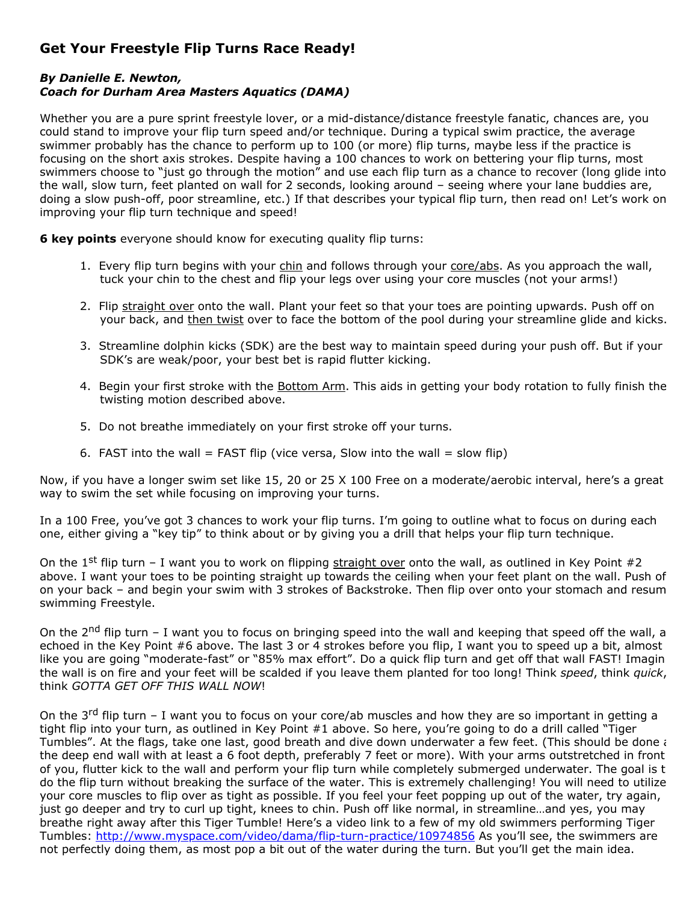## **Get Your Freestyle Flip Turns Race Ready!**

## *By Danielle E. Newton, Coach for Durham Area Masters Aquatics (DAMA)*

Whether you are a pure sprint freestyle lover, or a mid-distance/distance freestyle fanatic, chances are, you could stand to improve your flip turn speed and/or technique. During a typical swim practice, the average swimmer probably has the chance to perform up to 100 (or more) flip turns, maybe less if the practice is focusing on the short axis strokes. Despite having a 100 chances to work on bettering your flip turns, most swimmers choose to "just go through the motion" and use each flip turn as a chance to recover (long glide into the wall, slow turn, feet planted on wall for 2 seconds, looking around – seeing where your lane buddies are, doing a slow push-off, poor streamline, etc.) If that describes your typical flip turn, then read on! Let's work on improving your flip turn technique and speed!

**6 key points** everyone should know for executing quality flip turns:

- 1. Every flip turn begins with your chin and follows through your core/abs. As you approach the wall, tuck your chin to the chest and flip your legs over using your core muscles (not your arms!)
- 2. Flip straight over onto the wall. Plant your feet so that your toes are pointing upwards. Push off on your back, and then twist over to face the bottom of the pool during your streamline glide and kicks.
- 3. Streamline dolphin kicks (SDK) are the best way to maintain speed during your push off. But if your SDK's are weak/poor, your best bet is rapid flutter kicking.
- 4. Begin your first stroke with the Bottom Arm. This aids in getting your body rotation to fully finish the twisting motion described above.
- 5. Do not breathe immediately on your first stroke off your turns.
- 6. FAST into the wall = FAST flip (vice versa, Slow into the wall = slow flip)

Now, if you have a longer swim set like 15, 20 or 25 X 100 Free on a moderate/aerobic interval, here's a great way to swim the set while focusing on improving your turns.

In a 100 Free, you've got 3 chances to work your flip turns. I'm going to outline what to focus on during each one, either giving a "key tip" to think about or by giving you a drill that helps your flip turn technique.

On the 1<sup>st</sup> flip turn - I want you to work on flipping straight over onto the wall, as outlined in Key Point #2 above. I want your toes to be pointing straight up towards the ceiling when your feet plant on the wall. Push of on your back – and begin your swim with 3 strokes of Backstroke. Then flip over onto your stomach and resum swimming Freestyle.

On the 2<sup>nd</sup> flip turn - I want you to focus on bringing speed into the wall and keeping that speed off the wall, a echoed in the Key Point #6 above. The last 3 or 4 strokes before you flip, I want you to speed up a bit, almost like you are going "moderate-fast" or "85% max effort". Do a quick flip turn and get off that wall FAST! Imagin the wall is on fire and your feet will be scalded if you leave them planted for too long! Think *speed*, think *quick*, think *GOTTA GET OFF THIS WALL NOW*!

On the 3<sup>rd</sup> flip turn – I want you to focus on your core/ab muscles and how they are so important in getting a tight flip into your turn, as outlined in Key Point #1 above. So here, you're going to do a drill called "Tiger Tumbles". At the flags, take one last, good breath and dive down underwater a few feet. (This should be done  $i$ the deep end wall with at least a 6 foot depth, preferably 7 feet or more). With your arms outstretched in front of you, flutter kick to the wall and perform your flip turn while completely submerged underwater. The goal is t do the flip turn without breaking the surface of the water. This is extremely challenging! You will need to utilize your core muscles to flip over as tight as possible. If you feel your feet popping up out of the water, try again, just go deeper and try to curl up tight, knees to chin. Push off like normal, in streamline…and yes, you may breathe right away after this Tiger Tumble! Here's a video link to a few of my old swimmers performing Tiger Tumbles: <http://www.myspace.com/video/dama/flip-turn-practice/10974856> As you'll see, the swimmers are not perfectly doing them, as most pop a bit out of the water during the turn. But you'll get the main idea.